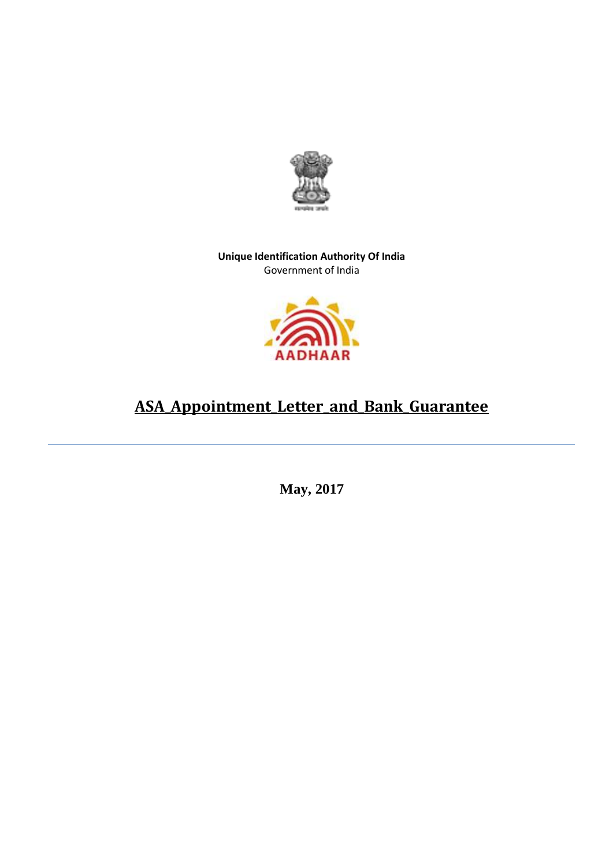

**Unique Identification Authority Of India** Government of India



## **ASA\_Appointment\_Letter\_and\_Bank\_Guarantee**

 **May, 2017**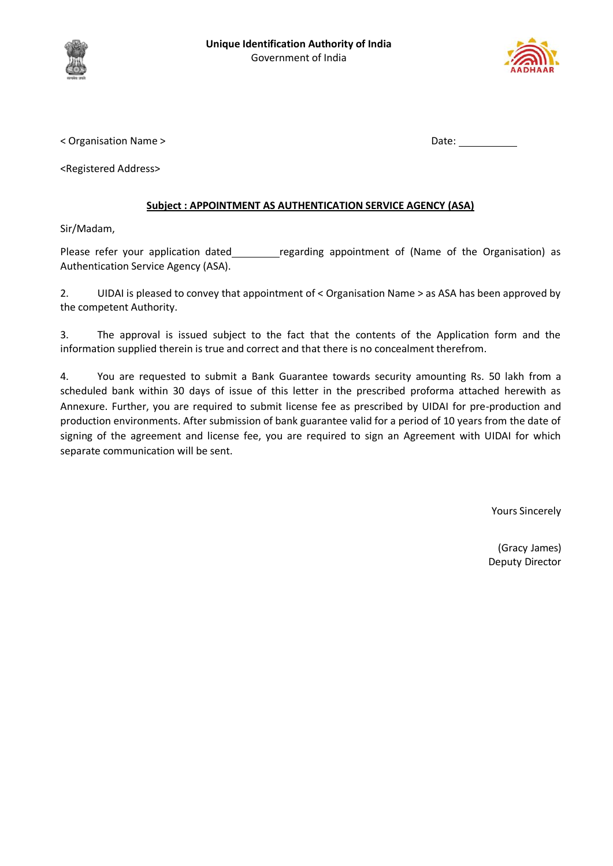



< Organisation Name > Date:

<Registered Address>

## **Subject : APPOINTMENT AS AUTHENTICATION SERVICE AGENCY (ASA)**

Sir/Madam,

Please refer your application dated \_\_\_\_\_\_\_\_\_ regarding appointment of (Name of the Organisation) as Authentication Service Agency (ASA).

2. UIDAI is pleased to convey that appointment of < Organisation Name > as ASA has been approved by the competent Authority.

3. The approval is issued subject to the fact that the contents of the Application form and the information supplied therein is true and correct and that there is no concealment therefrom.

4. You are requested to submit a Bank Guarantee towards security amounting Rs. 50 lakh from a scheduled bank within 30 days of issue of this letter in the prescribed proforma attached herewith as Annexure. Further, you are required to submit license fee as prescribed by UIDAI for pre-production and production environments. After submission of bank guarantee valid for a period of 10 years from the date of signing of the agreement and license fee, you are required to sign an Agreement with UIDAI for which separate communication will be sent.

Yours Sincerely

(Gracy James) Deputy Director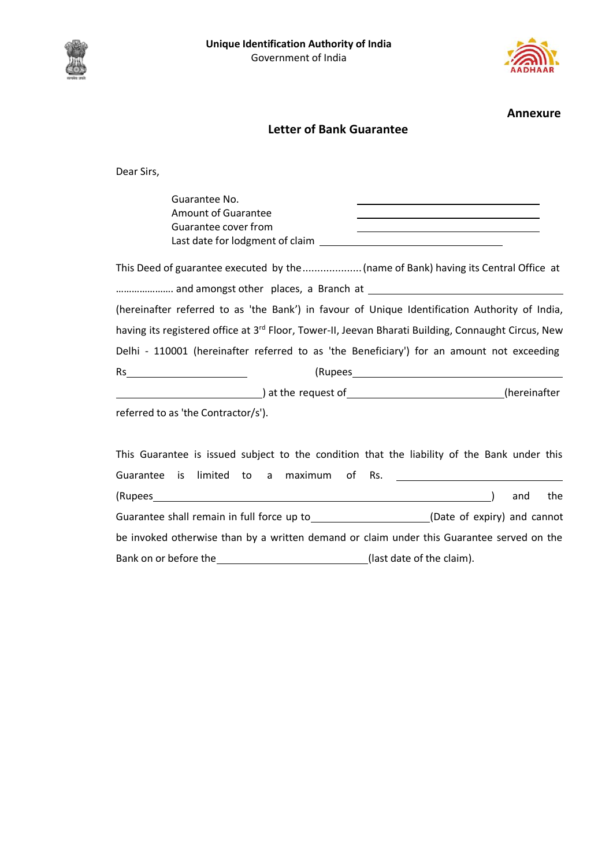





**Annexure**

## **Letter of Bank Guarantee**

Dear Sirs,

Guarantee No. Amount of Guarantee Guarantee cover from Last date for lodgment of claim \_\_\_\_\_

This Deed of guarantee executed by the....................(name of Bank) having its Central Office at ...................... and amongst other places, a Branch at \_\_\_\_\_\_\_\_\_\_\_\_\_\_\_\_\_\_\_ (hereinafter referred to as 'the Bank') in favour of Unique Identification Authority of India, having its registered office at 3<sup>rd</sup> Floor, Tower-II, Jeevan Bharati Building, Connaught Circus, New Delhi - 110001 (hereinafter referred to as 'the Beneficiary') for an amount not exceeding Rs (Rupees  $\begin{array}{c} \begin{array}{c} \begin{array}{c} \begin{array}{c} \end{array} \end{array}$  at the request of  $\begin{array}{c} \end{array} \end{array}$  (hereinafter

referred to as 'the Contractor/s').

| This Guarantee is issued subject to the condition that the liability of the Bank under this |  |  |  |                           |  |                             |     |
|---------------------------------------------------------------------------------------------|--|--|--|---------------------------|--|-----------------------------|-----|
| Guarantee is limited to a maximum of Rs.                                                    |  |  |  |                           |  |                             |     |
| (Rupees                                                                                     |  |  |  |                           |  | and                         | the |
| Guarantee shall remain in full force up to                                                  |  |  |  |                           |  | (Date of expiry) and cannot |     |
| be invoked otherwise than by a written demand or claim under this Guarantee served on the   |  |  |  |                           |  |                             |     |
| Bank on or before the                                                                       |  |  |  | (last date of the claim). |  |                             |     |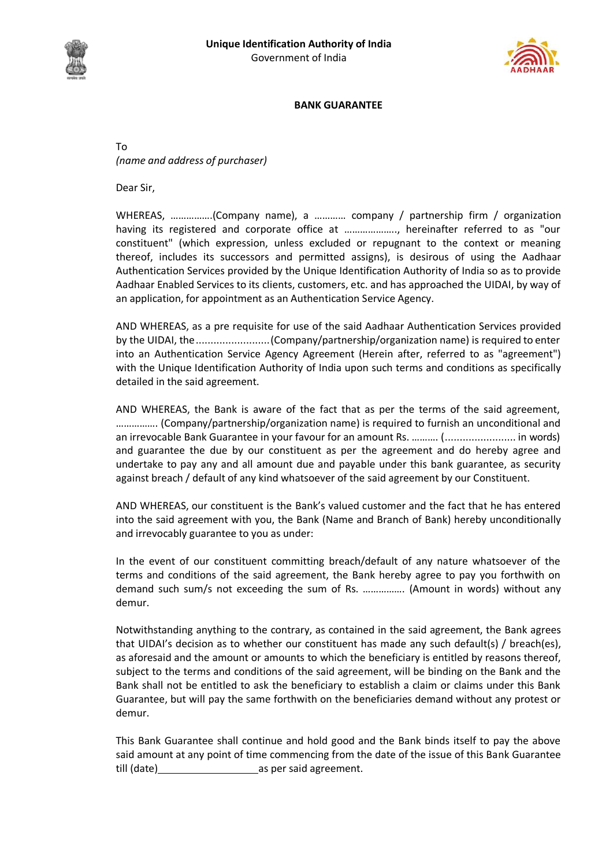



## **BANK GUARANTEE**

To *(name and address of purchaser)*

Dear Sir,

WHEREAS, …………….(Company name), a ………… company / partnership firm / organization having its registered and corporate office at ...................., hereinafter referred to as "our constituent" (which expression, unless excluded or repugnant to the context or meaning thereof, includes its successors and permitted assigns), is desirous of using the Aadhaar Authentication Services provided by the Unique Identification Authority of India so as to provide Aadhaar Enabled Services to its clients, customers, etc. and has approached the UIDAI, by way of an application, for appointment as an Authentication Service Agency.

AND WHEREAS, as a pre requisite for use of the said Aadhaar Authentication Services provided by the UIDAI, the.........................(Company/partnership/organization name) is required to enter into an Authentication Service Agency Agreement (Herein after, referred to as "agreement") with the Unique Identification Authority of India upon such terms and conditions as specifically detailed in the said agreement.

AND WHEREAS, the Bank is aware of the fact that as per the terms of the said agreement, ……………. (Company/partnership/organization name) is required to furnish an unconditional and an irrevocable Bank Guarantee in your favour for an amount Rs. ………. (........................ in words) and guarantee the due by our constituent as per the agreement and do hereby agree and undertake to pay any and all amount due and payable under this bank guarantee, as security against breach / default of any kind whatsoever of the said agreement by our Constituent.

AND WHEREAS, our constituent is the Bank's valued customer and the fact that he has entered into the said agreement with you, the Bank (Name and Branch of Bank) hereby unconditionally and irrevocably guarantee to you as under:

In the event of our constituent committing breach/default of any nature whatsoever of the terms and conditions of the said agreement, the Bank hereby agree to pay you forthwith on demand such sum/s not exceeding the sum of Rs. ……………. (Amount in words) without any demur.

Notwithstanding anything to the contrary, as contained in the said agreement, the Bank agrees that UIDAI's decision as to whether our constituent has made any such default(s) / breach(es), as aforesaid and the amount or amounts to which the beneficiary is entitled by reasons thereof, subject to the terms and conditions of the said agreement, will be binding on the Bank and the Bank shall not be entitled to ask the beneficiary to establish a claim or claims under this Bank Guarantee, but will pay the same forthwith on the beneficiaries demand without any protest or demur.

This Bank Guarantee shall continue and hold good and the Bank binds itself to pay the above said amount at any point of time commencing from the date of the issue of this Bank Guarantee till (date) as per said agreement.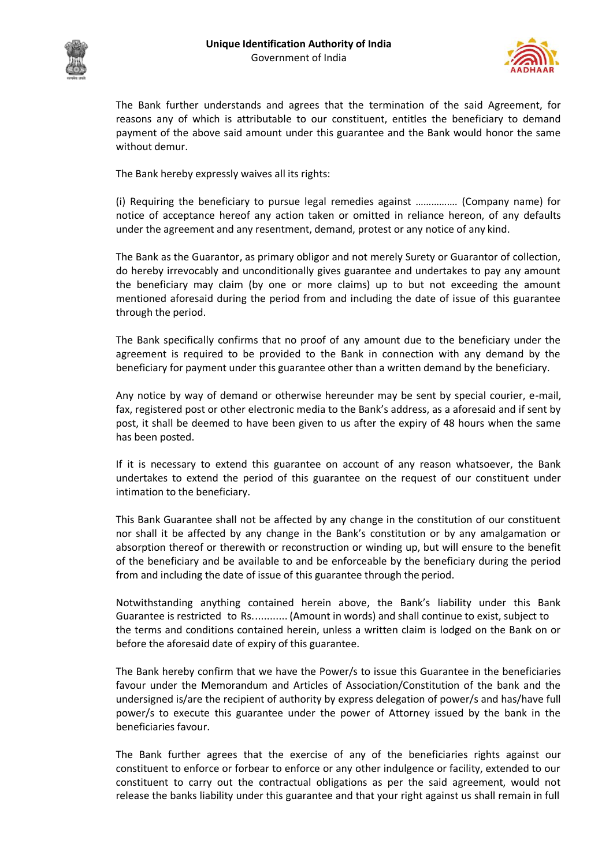



The Bank further understands and agrees that the termination of the said Agreement, for reasons any of which is attributable to our constituent, entitles the beneficiary to demand payment of the above said amount under this guarantee and the Bank would honor the same without demur.

The Bank hereby expressly waives all its rights:

(i) Requiring the beneficiary to pursue legal remedies against ……………. (Company name) for notice of acceptance hereof any action taken or omitted in reliance hereon, of any defaults under the agreement and any resentment, demand, protest or any notice of any kind.

The Bank as the Guarantor, as primary obligor and not merely Surety or Guarantor of collection, do hereby irrevocably and unconditionally gives guarantee and undertakes to pay any amount the beneficiary may claim (by one or more claims) up to but not exceeding the amount mentioned aforesaid during the period from and including the date of issue of this guarantee through the period.

The Bank specifically confirms that no proof of any amount due to the beneficiary under the agreement is required to be provided to the Bank in connection with any demand by the beneficiary for payment under this guarantee other than a written demand by the beneficiary.

Any notice by way of demand or otherwise hereunder may be sent by special courier, e-mail, fax, registered post or other electronic media to the Bank's address, as a aforesaid and if sent by post, it shall be deemed to have been given to us after the expiry of 48 hours when the same has been posted.

If it is necessary to extend this guarantee on account of any reason whatsoever, the Bank undertakes to extend the period of this guarantee on the request of our constituent under intimation to the beneficiary.

This Bank Guarantee shall not be affected by any change in the constitution of our constituent nor shall it be affected by any change in the Bank's constitution or by any amalgamation or absorption thereof or therewith or reconstruction or winding up, but will ensure to the benefit of the beneficiary and be available to and be enforceable by the beneficiary during the period from and including the date of issue of this guarantee through the period.

Notwithstanding anything contained herein above, the Bank's liability under this Bank Guarantee is restricted to Rs............ (Amount in words) and shall continue to exist, subject to the terms and conditions contained herein, unless a written claim is lodged on the Bank on or before the aforesaid date of expiry of this guarantee.

The Bank hereby confirm that we have the Power/s to issue this Guarantee in the beneficiaries favour under the Memorandum and Articles of Association/Constitution of the bank and the undersigned is/are the recipient of authority by express delegation of power/s and has/have full power/s to execute this guarantee under the power of Attorney issued by the bank in the beneficiaries favour.

The Bank further agrees that the exercise of any of the beneficiaries rights against our constituent to enforce or forbear to enforce or any other indulgence or facility, extended to our constituent to carry out the contractual obligations as per the said agreement, would not release the banks liability under this guarantee and that your right against us shall remain in full